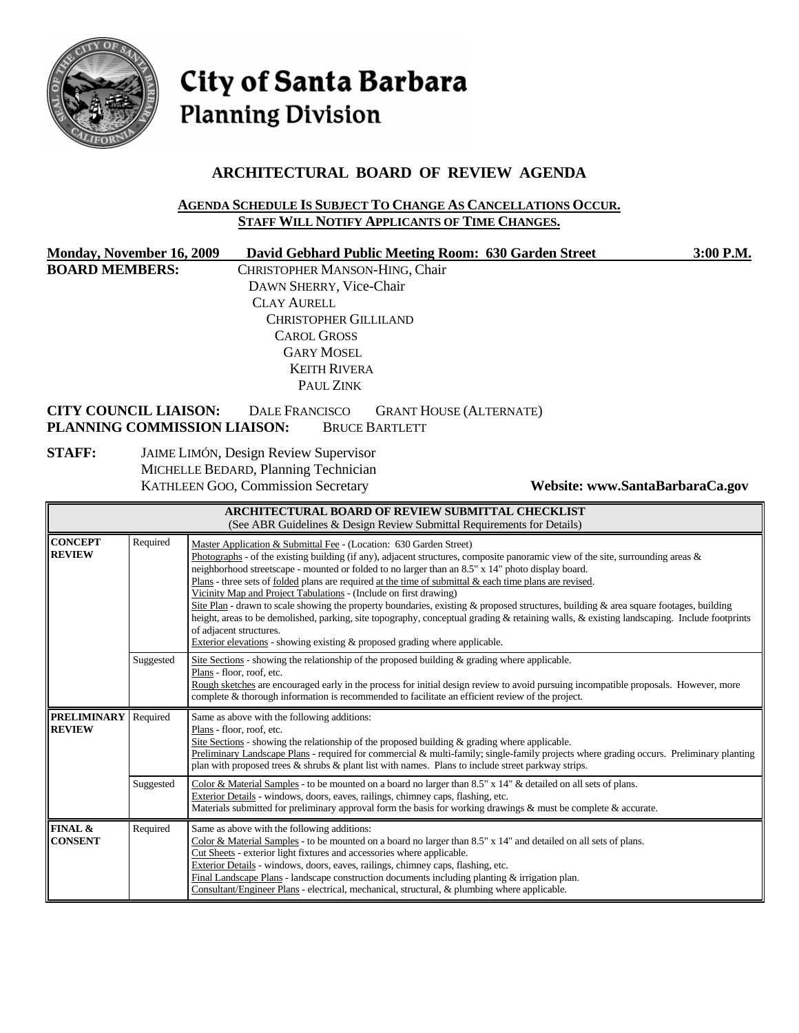

# City of Santa Barbara **Planning Division**

## **ARCHITECTURAL BOARD OF REVIEW AGENDA**

#### **AGENDA SCHEDULE IS SUBJECT TO CHANGE AS CANCELLATIONS OCCUR. STAFF WILL NOTIFY APPLICANTS OF TIME CHANGES.**

| <b>Monday, November 16, 2009</b><br><b>BOARD MEMBERS:</b><br><b>CITY COUNCIL LIAISON:</b> |           | David Gebhard Public Meeting Room: 630 Garden Street<br>3:00 P.M.<br>CHRISTOPHER MANSON-HING, Chair<br>DAWN SHERRY, Vice-Chair<br><b>CLAY AURELL</b><br><b>CHRISTOPHER GILLILAND</b><br><b>CAROL GROSS</b><br><b>GARY MOSEL</b><br><b>KEITH RIVERA</b><br>PAUL ZINK<br><b>DALE FRANCISCO</b><br><b>GRANT HOUSE (ALTERNATE)</b>                                                                                                                                                                                                                                                                                                                                                                                                                                                                                                                                                                       |  |  |
|-------------------------------------------------------------------------------------------|-----------|------------------------------------------------------------------------------------------------------------------------------------------------------------------------------------------------------------------------------------------------------------------------------------------------------------------------------------------------------------------------------------------------------------------------------------------------------------------------------------------------------------------------------------------------------------------------------------------------------------------------------------------------------------------------------------------------------------------------------------------------------------------------------------------------------------------------------------------------------------------------------------------------------|--|--|
|                                                                                           |           | PLANNING COMMISSION LIAISON:<br><b>BRUCE BARTLETT</b>                                                                                                                                                                                                                                                                                                                                                                                                                                                                                                                                                                                                                                                                                                                                                                                                                                                |  |  |
| <b>STAFF:</b>                                                                             |           | JAIME LIMÓN, Design Review Supervisor<br>MICHELLE BEDARD, Planning Technician<br>KATHLEEN GOO, Commission Secretary<br>Website: www.SantaBarbaraCa.gov                                                                                                                                                                                                                                                                                                                                                                                                                                                                                                                                                                                                                                                                                                                                               |  |  |
|                                                                                           |           | <b>ARCHITECTURAL BOARD OF REVIEW SUBMITTAL CHECKLIST</b><br>(See ABR Guidelines & Design Review Submittal Requirements for Details)                                                                                                                                                                                                                                                                                                                                                                                                                                                                                                                                                                                                                                                                                                                                                                  |  |  |
| <b>CONCEPT</b><br><b>REVIEW</b>                                                           | Required  | Master Application & Submittal Fee - (Location: 630 Garden Street)<br>Photographs - of the existing building (if any), adjacent structures, composite panoramic view of the site, surrounding areas $\&$<br>neighborhood streetscape - mounted or folded to no larger than an 8.5" x 14" photo display board.<br>Plans - three sets of folded plans are required at the time of submittal $\&$ each time plans are revised.<br>Vicinity Map and Project Tabulations - (Include on first drawing)<br>Site Plan - drawn to scale showing the property boundaries, existing & proposed structures, building & area square footages, building<br>height, areas to be demolished, parking, site topography, conceptual grading & retaining walls, & existing landscaping. Include footprints<br>of adjacent structures.<br>Exterior elevations - showing existing $\&$ proposed grading where applicable. |  |  |
|                                                                                           | Suggested | Site Sections - showing the relationship of the proposed building & grading where applicable.<br>Plans - floor, roof, etc.<br>Rough sketches are encouraged early in the process for initial design review to avoid pursuing incompatible proposals. However, more<br>complete & thorough information is recommended to facilitate an efficient review of the project.                                                                                                                                                                                                                                                                                                                                                                                                                                                                                                                               |  |  |
| <b>PRELIMINARY</b><br><b>REVIEW</b>                                                       | Required  | Same as above with the following additions:<br>Plans - floor, roof, etc.<br>Site Sections - showing the relationship of the proposed building & grading where applicable.<br>Preliminary Landscape Plans - required for commercial & multi-family; single-family projects where grading occurs. Preliminary planting<br>plan with proposed trees & shrubs & plant list with names. Plans to include street parkway strips.                                                                                                                                                                                                                                                                                                                                                                                                                                                                           |  |  |
|                                                                                           | Suggested | Color & Material Samples - to be mounted on a board no larger than 8.5" x 14" & detailed on all sets of plans.<br>Exterior Details - windows, doors, eaves, railings, chimney caps, flashing, etc.<br>Materials submitted for preliminary approval form the basis for working drawings $\&$ must be complete $\&$ accurate.                                                                                                                                                                                                                                                                                                                                                                                                                                                                                                                                                                          |  |  |
| FINAL &<br><b>CONSENT</b>                                                                 | Required  | Same as above with the following additions:<br>Color & Material Samples - to be mounted on a board no larger than 8.5" x 14" and detailed on all sets of plans.<br>Cut Sheets - exterior light fixtures and accessories where applicable.<br>Exterior Details - windows, doors, eaves, railings, chimney caps, flashing, etc.<br>Final Landscape Plans - landscape construction documents including planting $&$ irrigation plan.<br>Consultant/Engineer Plans - electrical, mechanical, structural, & plumbing where applicable.                                                                                                                                                                                                                                                                                                                                                                    |  |  |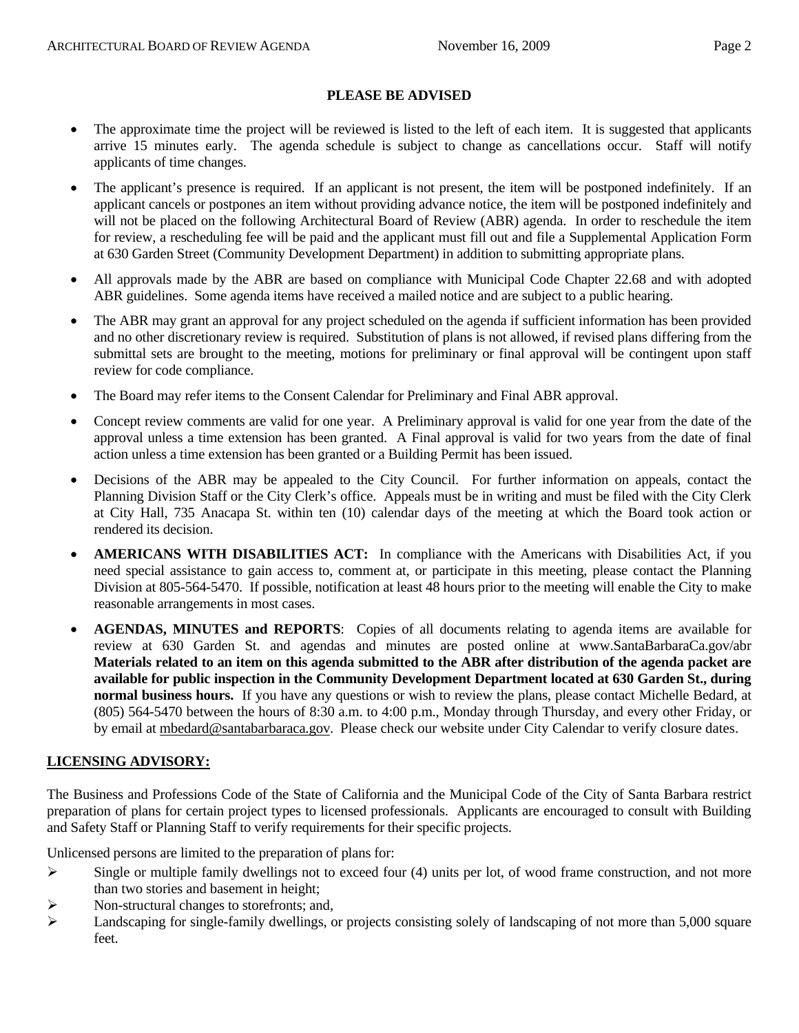#### **PLEASE BE ADVISED**

- The approximate time the project will be reviewed is listed to the left of each item. It is suggested that applicants arrive 15 minutes early. The agenda schedule is subject to change as cancellations occur. Staff will notify applicants of time changes.
- The applicant's presence is required. If an applicant is not present, the item will be postponed indefinitely. If an applicant cancels or postpones an item without providing advance notice, the item will be postponed indefinitely and will not be placed on the following Architectural Board of Review (ABR) agenda. In order to reschedule the item for review, a rescheduling fee will be paid and the applicant must fill out and file a Supplemental Application Form at 630 Garden Street (Community Development Department) in addition to submitting appropriate plans.
- All approvals made by the ABR are based on compliance with Municipal Code Chapter 22.68 and with adopted ABR guidelines. Some agenda items have received a mailed notice and are subject to a public hearing.
- The ABR may grant an approval for any project scheduled on the agenda if sufficient information has been provided and no other discretionary review is required. Substitution of plans is not allowed, if revised plans differing from the submittal sets are brought to the meeting, motions for preliminary or final approval will be contingent upon staff review for code compliance.
- The Board may refer items to the Consent Calendar for Preliminary and Final ABR approval.
- Concept review comments are valid for one year. A Preliminary approval is valid for one year from the date of the approval unless a time extension has been granted. A Final approval is valid for two years from the date of final action unless a time extension has been granted or a Building Permit has been issued.
- Decisions of the ABR may be appealed to the City Council. For further information on appeals, contact the Planning Division Staff or the City Clerk's office. Appeals must be in writing and must be filed with the City Clerk at City Hall, 735 Anacapa St. within ten (10) calendar days of the meeting at which the Board took action or rendered its decision.
- **AMERICANS WITH DISABILITIES ACT:** In compliance with the Americans with Disabilities Act, if you need special assistance to gain access to, comment at, or participate in this meeting, please contact the Planning Division at 805-564-5470. If possible, notification at least 48 hours prior to the meeting will enable the City to make reasonable arrangements in most cases.
- **AGENDAS, MINUTES and REPORTS**: Copies of all documents relating to agenda items are available for review at 630 Garden St. and agendas and minutes are posted online at [www.SantaBarbaraCa.gov/abr](http://www.santabarbaraca.gov/abr) **Materials related to an item on this agenda submitted to the ABR after distribution of the agenda packet are available for public inspection in the Community Development Department located at 630 Garden St., during normal business hours.** If you have any questions or wish to review the plans, please contact Michelle Bedard, at (805) 564-5470 between the hours of 8:30 a.m. to 4:00 p.m., Monday through Thursday, and every other Friday, or by email at [mbedard@santabarbaraca.gov](mailto:mbedard@santabarbaraca.gov). Please check our website under City Calendar to verify closure dates.

#### **LICENSING ADVISORY:**

The Business and Professions Code of the State of California and the Municipal Code of the City of Santa Barbara restrict preparation of plans for certain project types to licensed professionals. Applicants are encouraged to consult with Building and Safety Staff or Planning Staff to verify requirements for their specific projects.

Unlicensed persons are limited to the preparation of plans for:

- $\triangleright$  Single or multiple family dwellings not to exceed four (4) units per lot, of wood frame construction, and not more than two stories and basement in height;
- ¾ Non-structural changes to storefronts; and,
- $\blacktriangleright$  Landscaping for single-family dwellings, or projects consisting solely of landscaping of not more than 5,000 square feet.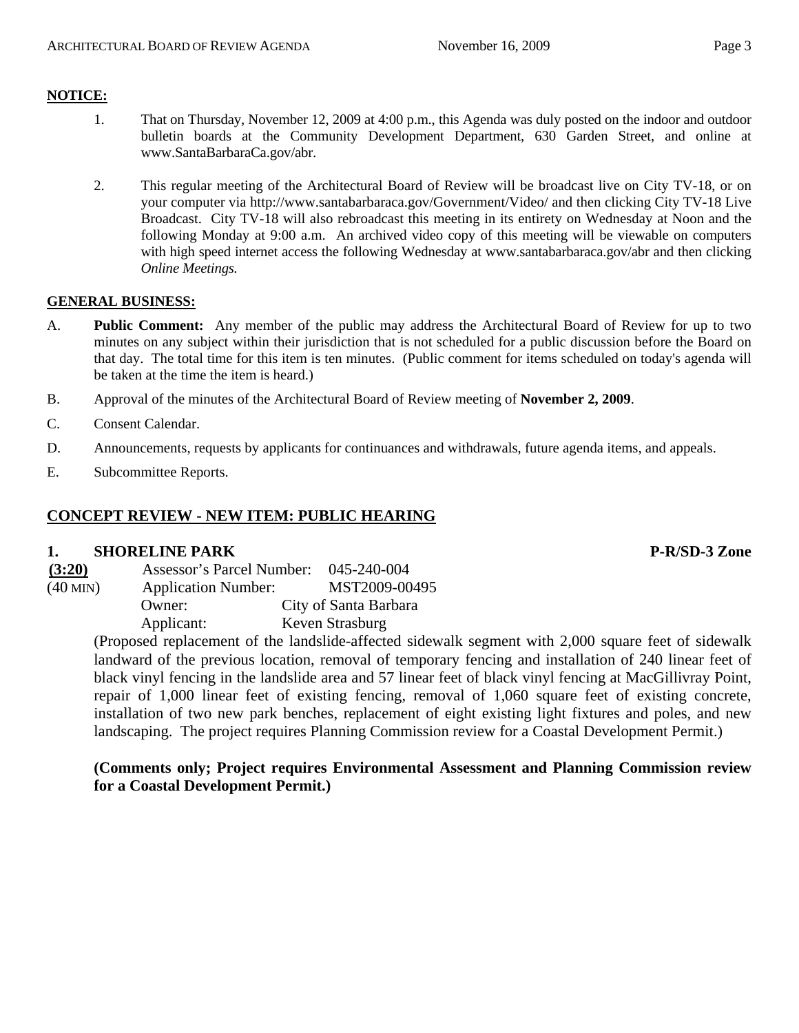### **NOTICE:**

- 1. That on Thursday, November 12, 2009 at 4:00 p.m., this Agenda was duly posted on the indoor and outdoor bulletin boards at the Community Development Department, 630 Garden Street, and online at [www.SantaBarbaraCa.gov/abr.](http://www.santabarbaraca.gov/abr)
- 2. This regular meeting of the Architectural Board of Review will be broadcast live on City TV-18, or on your computer via <http://www.santabarbaraca.gov/Government/Video/> and then clicking City TV-18 Live Broadcast. City TV-18 will also rebroadcast this meeting in its entirety on Wednesday at Noon and the following Monday at 9:00 a.m. An archived video copy of this meeting will be viewable on computers with high speed internet access the following Wednesday at [www.santabarbaraca.gov/abr](http://www.santabarbaraca.gov/abr) and then clicking *Online Meetings.*

#### **GENERAL BUSINESS:**

- A. **Public Comment:** Any member of the public may address the Architectural Board of Review for up to two minutes on any subject within their jurisdiction that is not scheduled for a public discussion before the Board on that day. The total time for this item is ten minutes. (Public comment for items scheduled on today's agenda will be taken at the time the item is heard.)
- B. Approval of the minutes of the Architectural Board of Review meeting of **November 2, 2009**.
- C. Consent Calendar.
- D. Announcements, requests by applicants for continuances and withdrawals, future agenda items, and appeals.
- E. Subcommittee Reports.

## **CONCEPT REVIEW - NEW ITEM: PUBLIC HEARING**

#### **1.** SHORELINE PARK P-R/SD-3 Zone

| (3:20)     | Assessor's Parcel Number:  | 045-240-004           |
|------------|----------------------------|-----------------------|
| $(40$ MIN) | <b>Application Number:</b> | MST2009-00495         |
|            | Owner:                     | City of Santa Barbara |
|            | Applicant:                 | Keven Strasburg       |

(Proposed replacement of the landslide-affected sidewalk segment with 2,000 square feet of sidewalk landward of the previous location, removal of temporary fencing and installation of 240 linear feet of black vinyl fencing in the landslide area and 57 linear feet of black vinyl fencing at MacGillivray Point, repair of 1,000 linear feet of existing fencing, removal of 1,060 square feet of existing concrete, installation of two new park benches, replacement of eight existing light fixtures and poles, and new landscaping. The project requires Planning Commission review for a Coastal Development Permit.)

#### **(Comments only; Project requires Environmental Assessment and Planning Commission review for a Coastal Development Permit.)**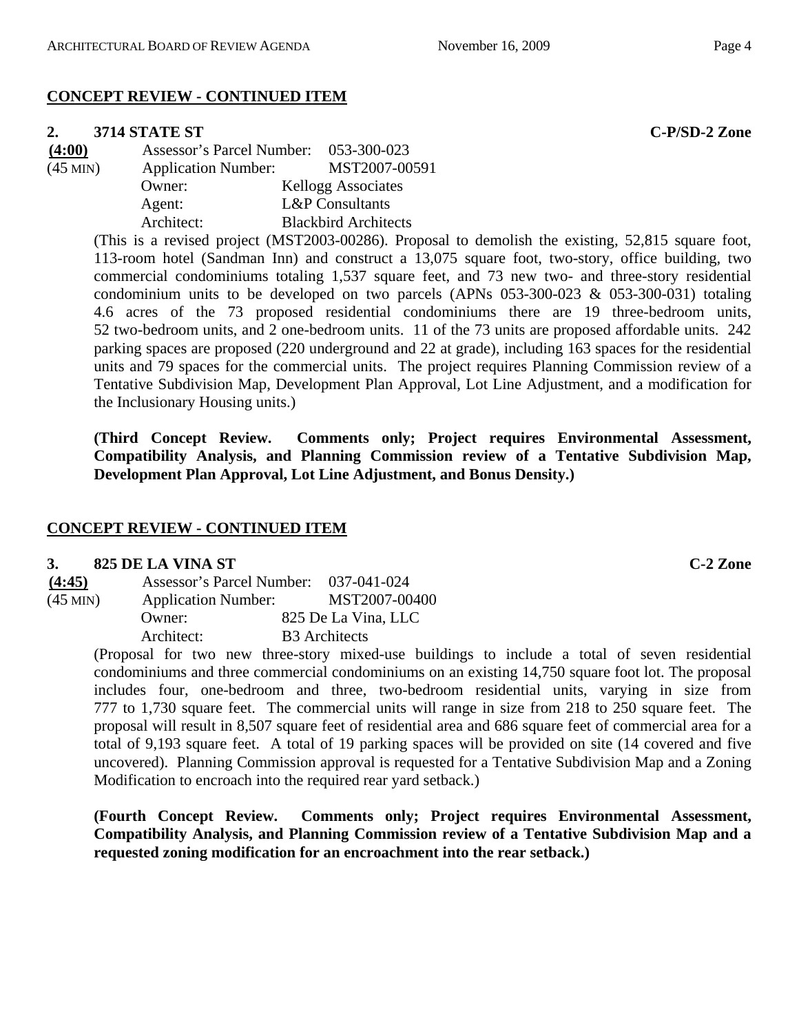## **CONCEPT REVIEW - CONTINUED ITEM**

#### **2. 3714 STATE ST C-P/SD-2 Zone**

| (4:00)        | Assessor's Parcel Number:  | 053-300-023                 |
|---------------|----------------------------|-----------------------------|
| $(45$ MIN $)$ | <b>Application Number:</b> | MST2007-00591               |
|               | Owner:                     | <b>Kellogg Associates</b>   |
|               | Agent:                     | <b>L&amp;P</b> Consultants  |
|               | Architect:                 | <b>Blackbird Architects</b> |

(This is a revised project (MST2003-00286). Proposal to demolish the existing, 52,815 square foot, 113-room hotel (Sandman Inn) and construct a 13,075 square foot, two-story, office building, two commercial condominiums totaling 1,537 square feet, and 73 new two- and three-story residential condominium units to be developed on two parcels (APNs 053-300-023 & 053-300-031) totaling 4.6 acres of the 73 proposed residential condominiums there are 19 three-bedroom units, 52 two-bedroom units, and 2 one-bedroom units. 11 of the 73 units are proposed affordable units. 242 parking spaces are proposed (220 underground and 22 at grade), including 163 spaces for the residential units and 79 spaces for the commercial units. The project requires Planning Commission review of a Tentative Subdivision Map, Development Plan Approval, Lot Line Adjustment, and a modification for the Inclusionary Housing units.)

**(Third Concept Review. Comments only; Project requires Environmental Assessment, Compatibility Analysis, and Planning Commission review of a Tentative Subdivision Map, Development Plan Approval, Lot Line Adjustment, and Bonus Density.)** 

#### **CONCEPT REVIEW - CONTINUED ITEM**

#### **3. 825 DE LA VINA ST C-2 Zone**

| (4:45)     | Assessor's Parcel Number:  | 037-041-024          |
|------------|----------------------------|----------------------|
| $(45$ MIN) | <b>Application Number:</b> | MST2007-00400        |
|            | Owner:                     | 825 De La Vina, LLC  |
|            | Architect:                 | <b>B3</b> Architects |

(Proposal for two new three-story mixed-use buildings to include a total of seven residential condominiums and three commercial condominiums on an existing 14,750 square foot lot. The proposal includes four, one-bedroom and three, two-bedroom residential units, varying in size from 777 to 1,730 square feet. The commercial units will range in size from 218 to 250 square feet. The proposal will result in 8,507 square feet of residential area and 686 square feet of commercial area for a total of 9,193 square feet. A total of 19 parking spaces will be provided on site (14 covered and five uncovered). Planning Commission approval is requested for a Tentative Subdivision Map and a Zoning Modification to encroach into the required rear yard setback.)

**(Fourth Concept Review. Comments only; Project requires Environmental Assessment, Compatibility Analysis, and Planning Commission review of a Tentative Subdivision Map and a requested zoning modification for an encroachment into the rear setback.)**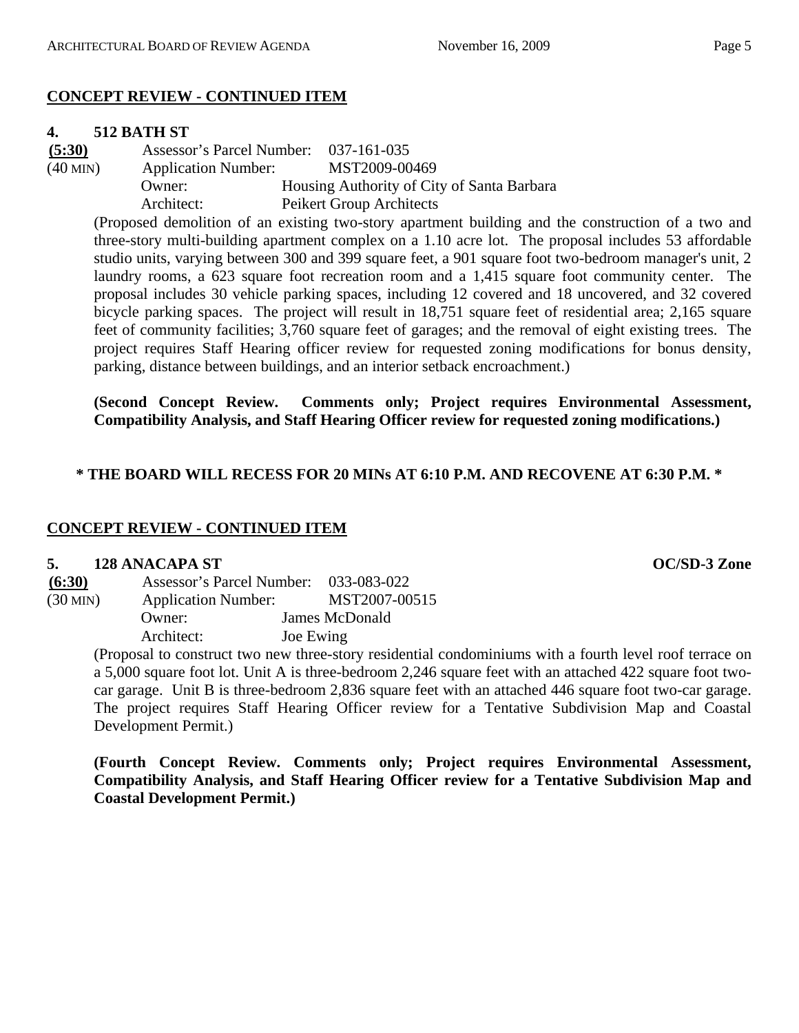## **CONCEPT REVIEW - CONTINUED ITEM**

## **4. 512 BATH ST**

**(5:30)** Assessor's Parcel Number: 037-161-035 (40 MIN) Application Number: MST2009-00469 Owner: Housing Authority of City of Santa Barbara Architect: Peikert Group Architects

(Proposed demolition of an existing two-story apartment building and the construction of a two and three-story multi-building apartment complex on a 1.10 acre lot. The proposal includes 53 affordable studio units, varying between 300 and 399 square feet, a 901 square foot two-bedroom manager's unit, 2 laundry rooms, a 623 square foot recreation room and a 1,415 square foot community center. The proposal includes 30 vehicle parking spaces, including 12 covered and 18 uncovered, and 32 covered bicycle parking spaces. The project will result in 18,751 square feet of residential area; 2,165 square feet of community facilities; 3,760 square feet of garages; and the removal of eight existing trees. The project requires Staff Hearing officer review for requested zoning modifications for bonus density, parking, distance between buildings, and an interior setback encroachment.)

**(Second Concept Review. Comments only; Project requires Environmental Assessment, Compatibility Analysis, and Staff Hearing Officer review for requested zoning modifications.)** 

## **\* THE BOARD WILL RECESS FOR 20 MINs AT 6:10 P.M. AND RECOVENE AT 6:30 P.M. \***

## **CONCEPT REVIEW - CONTINUED ITEM**

#### **5. 128 ANACAPA ST OC/SD-3 Zone**

| (6:30)     | Assessor's Parcel Number:  |           | 033-083-022    |
|------------|----------------------------|-----------|----------------|
| $(30$ MIN) | <b>Application Number:</b> |           | MST2007-00515  |
|            | Owner:                     |           | James McDonald |
|            | Architect:                 | Joe Ewing |                |

(Proposal to construct two new three-story residential condominiums with a fourth level roof terrace on a 5,000 square foot lot. Unit A is three-bedroom 2,246 square feet with an attached 422 square foot twocar garage. Unit B is three-bedroom 2,836 square feet with an attached 446 square foot two-car garage. The project requires Staff Hearing Officer review for a Tentative Subdivision Map and Coastal Development Permit.)

**(Fourth Concept Review. Comments only; Project requires Environmental Assessment, Compatibility Analysis, and Staff Hearing Officer review for a Tentative Subdivision Map and Coastal Development Permit.)**